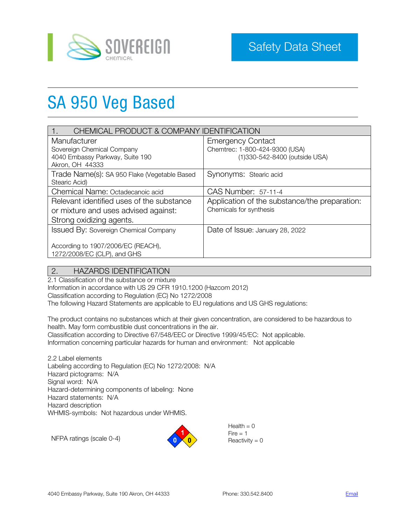

# SA 950 Veg Based

| CHEMICAL PRODUCT & COMPANY IDENTIFICATION                         |                                                                 |  |
|-------------------------------------------------------------------|-----------------------------------------------------------------|--|
| Manufacturer                                                      | <b>Emergency Contact</b>                                        |  |
| Sovereign Chemical Company                                        | Chemtrec: 1-800-424-9300 (USA)<br>(1)330-542-8400 (outside USA) |  |
| 4040 Embassy Parkway, Suite 190<br>Akron, OH 44333                |                                                                 |  |
| Trade Name(s): SA 950 Flake (Vegetable Based<br>Stearic Acid)     | Synonyms: Stearic acid                                          |  |
| Chemical Name: Octadecanoic acid                                  | CAS Number: 57-11-4                                             |  |
| Relevant identified uses of the substance                         | Application of the substance/the preparation:                   |  |
| or mixture and uses advised against:                              | Chemicals for synthesis                                         |  |
| Strong oxidizing agents.                                          |                                                                 |  |
| <b>Issued By: Sovereign Chemical Company</b>                      | Date of Issue: January 28, 2022                                 |  |
| According to 1907/2006/EC (REACH),<br>1272/2008/EC (CLP), and GHS |                                                                 |  |

# 2. HAZARDS IDENTIFICATION

2.1 Classification of the substance or mixture Information in accordance with US 29 CFR 1910.1200 (Hazcom 2012) Classification according to Regulation (EC) No 1272/2008 The following Hazard Statements are applicable to EU regulations and US GHS regulations:

The product contains no substances which at their given concentration, are considered to be hazardous to health. May form combustible dust concentrations in the air. Classification according to Directive 67/548/EEC or Directive 1999/45/EC: Not applicable. Information concerning particular hazards for human and environment: Not applicable

2.2 Label elements Labeling according to Regulation (EC) No 1272/2008: N/A Hazard pictograms: N/A Signal word: N/A Hazard-determining components of labeling: None Hazard statements: N/A Hazard description WHMIS-symbols: Not hazardous under WHMIS.

NFPA ratings (scale 0-4)



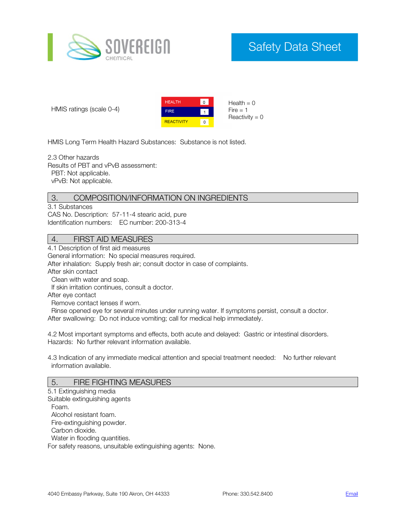

# Safety Data Sheet

HMIS ratings (scale 0-4)



HMIS Long Term Health Hazard Substances: Substance is not listed.

2.3 Other hazards Results of PBT and vPvB assessment: PBT: Not applicable. vPvB: Not applicable.

# 3. COMPOSITION/INFORMATION ON INGREDIENTS

3.1 Substances CAS No. Description: 57-11-4 stearic acid, pure Identification numbers: EC number: 200-313-4

# 4. FIRST AID MEASURES

4.1 Description of first aid measures

General information: No special measures required.

After inhalation: Supply fresh air; consult doctor in case of complaints.

After skin contact

Clean with water and soap.

If skin irritation continues, consult a doctor.

After eye contact

Remove contact lenses if worn.

 Rinse opened eye for several minutes under running water. If symptoms persist, consult a doctor. After swallowing: Do not induce vomiting; call for medical help immediately.

4.2 Most important symptoms and effects, both acute and delayed: Gastric or intestinal disorders. Hazards: No further relevant information available.

4.3 Indication of any immediate medical attention and special treatment needed: No further relevant information available.

#### 5. FIRE FIGHTING MEASURES

5.1 Extinguishing media Suitable extinguishing agents Foam. Alcohol resistant foam. Fire-extinguishing powder. Carbon dioxide. Water in flooding quantities. For safety reasons, unsuitable extinguishing agents: None.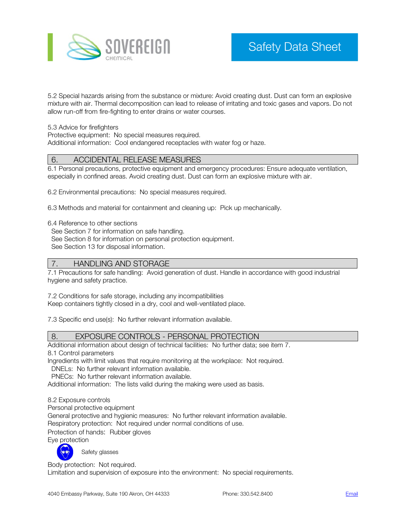

5.2 Special hazards arising from the substance or mixture: Avoid creating dust. Dust can form an explosive mixture with air. Thermal decomposition can lead to release of irritating and toxic gases and vapors. Do not allow run-off from fire-fighting to enter drains or water courses.

5.3 Advice for firefighters

Protective equipment: No special measures required. Additional information: Cool endangered receptacles with water fog or haze.

# 6. ACCIDENTAL RELEASE MEASURES

6.1 Personal precautions, protective equipment and emergency procedures: Ensure adequate ventilation, especially in confined areas. Avoid creating dust. Dust can form an explosive mixture with air.

6.2 Environmental precautions: No special measures required.

6.3 Methods and material for containment and cleaning up: Pick up mechanically.

6.4 Reference to other sections

 See Section 7 for information on safe handling. See Section 8 for information on personal protection equipment.

See Section 13 for disposal information.

#### 7. HANDLING AND STORAGE

7.1 Precautions for safe handling: Avoid generation of dust. Handle in accordance with good industrial hygiene and safety practice.

7.2 Conditions for safe storage, including any incompatibilities Keep containers tightly closed in a dry, cool and well-ventilated place.

7.3 Specific end use(s): No further relevant information available.

#### 8. EXPOSURE CONTROLS - PERSONAL PROTECTION

Additional information about design of technical facilities: No further data; see item 7.

8.1 Control parameters

Ingredients with limit values that require monitoring at the workplace: Not required. DNELs: No further relevant information available.

PNECs: No further relevant information available.

Additional information: The lists valid during the making were used as basis.

8.2 Exposure controls

Personal protective equipment

General protective and hygienic measures: No further relevant information available.

Respiratory protection: Not required under normal conditions of use.

Protection of hands: Rubber gloves

Eye protection

Safety glasses

Body protection: Not required.

Limitation and supervision of exposure into the environment: No special requirements.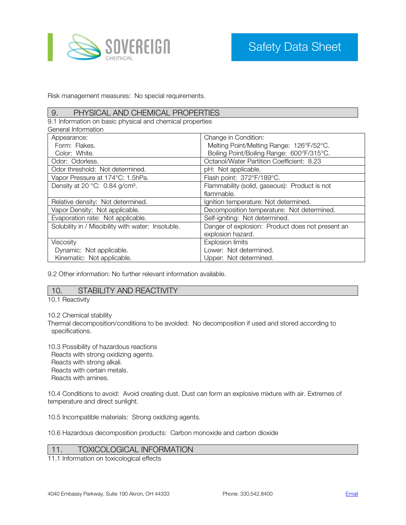

Risk management measures: No special requirements.

#### 9. PHYSICAL AND CHEMICAL PROPERTIES

9.1 Information on basic physical and chemical properties

| General Information                                |                                                  |
|----------------------------------------------------|--------------------------------------------------|
| Appearance:                                        | Change in Condition:                             |
| Form: Flakes.                                      | Melting Point/Melting Range: 126°F/52°C.         |
| Color: White.                                      | Boiling Point/Boiling Range: 600°F/315°C.        |
| Odor: Odorless.                                    | Octanol/Water Partition Coefficient: 8.23        |
| Odor threshold: Not determined.                    | pH: Not applicable.                              |
| Vapor Pressure at 174°C: 1.5hPa.                   | Flash point: 372°F/189°C.                        |
| Density at 20 °C: 0.84 g/cm <sup>3</sup> .         | Flammability (solid, gaseous): Product is not    |
|                                                    | flammable.                                       |
| Relative density: Not determined.                  | Ignition temperature: Not determined.            |
| Vapor Density: Not applicable.                     | Decomposition temperature: Not determined.       |
| Evaporation rate: Not applicable.                  | Self-igniting: Not determined.                   |
| Solubility in / Miscibility with water: Insoluble. | Danger of explosion: Product does not present an |
|                                                    | explosion hazard.                                |
| Viscosity                                          | <b>Explosion limits</b>                          |
| Dynamic: Not applicable.                           | Lower: Not determined.                           |
| Kinematic: Not applicable.                         | Upper: Not determined.                           |

9.2 Other information: No further relevant information available.

#### 10. STABILITY AND REACTIVITY

10.1 Reactivity

10.2 Chemical stability

Thermal decomposition/conditions to be avoided: No decomposition if used and stored according to specifications.

10.3 Possibility of hazardous reactions Reacts with strong oxidizing agents. Reacts with strong alkali. Reacts with certain metals. Reacts with amines.

10.4 Conditions to avoid: Avoid creating dust. Dust can form an explosive mixture with air. Extremes of temperature and direct sunlight.

10.5 Incompatible materials: Strong oxidizing agents.

10.6 Hazardous decomposition products: Carbon monoxide and carbon dioxide

# 11. TOXICOLOGICAL INFORMATION

11.1 Information on toxicological effects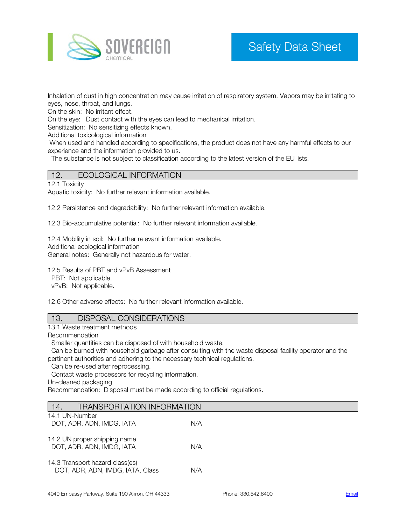

Inhalation of dust in high concentration may cause irritation of respiratory system. Vapors may be irritating to eyes, nose, throat, and lungs.

On the skin: No irritant effect.

On the eye: Dust contact with the eyes can lead to mechanical irritation.

Sensitization: No sensitizing effects known.

Additional toxicological information

When used and handled according to specifications, the product does not have any harmful effects to our experience and the information provided to us.

The substance is not subject to classification according to the latest version of the EU lists.

#### 12. ECOLOGICAL INFORMATION

#### 12.1 Toxicity

Aquatic toxicity: No further relevant information available.

12.2 Persistence and degradability: No further relevant information available.

12.3 Bio-accumulative potential: No further relevant information available.

12.4 Mobility in soil: No further relevant information available. Additional ecological information General notes: Generally not hazardous for water.

12.5 Results of PBT and vPvB Assessment

PBT: Not applicable.

vPvB: Not applicable.

12.6 Other adverse effects: No further relevant information available.

| 13. | <b>DISPOSAL CONSIDERATIONS</b> |
|-----|--------------------------------|
|     |                                |

13.1 Waste treatment methods

Recommendation

Smaller quantities can be disposed of with household waste.

 Can be burned with household garbage after consulting with the waste disposal facility operator and the pertinent authorities and adhering to the necessary technical regulations.

Can be re-used after reprocessing.

Contact waste processors for recycling information.

Un-cleaned packaging

Recommendation: Disposal must be made according to official regulations.

| <b>TRANSPORTATION INFORMATION</b><br>14. |                                                                     |      |
|------------------------------------------|---------------------------------------------------------------------|------|
|                                          | 14.1 UN-Number<br>DOT, ADR, ADN, IMDG, IATA                         | N/A  |
|                                          | 14.2 UN proper shipping name<br>DOT, ADR, ADN, IMDG, IATA           | N/A  |
|                                          | 14.3 Transport hazard class(es)<br>DOT, ADR, ADN, IMDG, IATA, Class | NI/A |